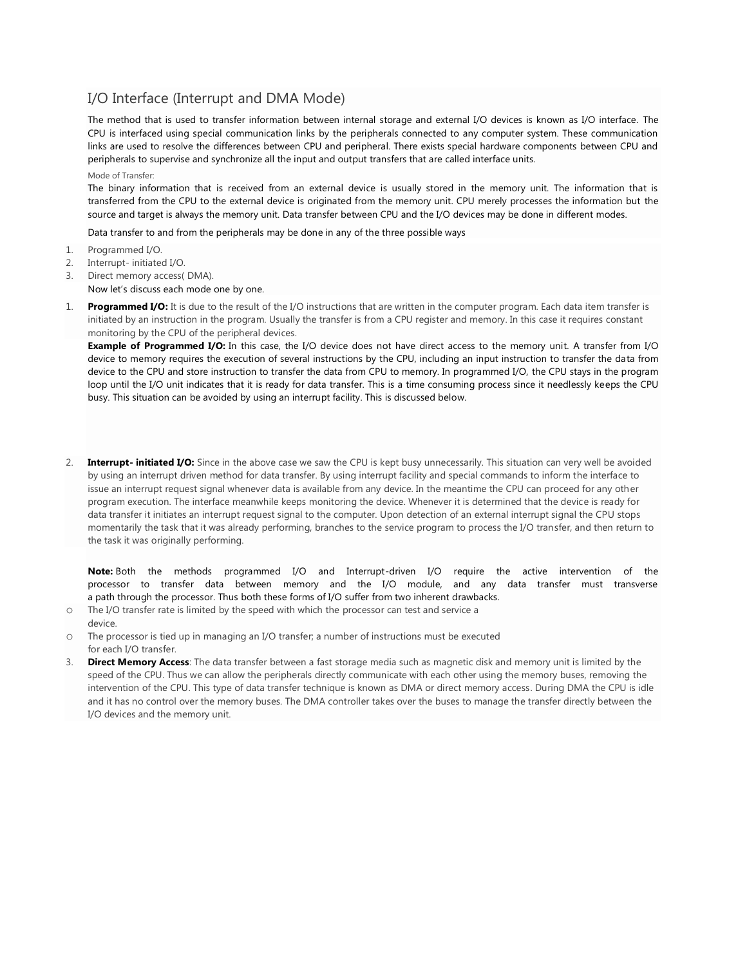# I/O Interface (Interrupt and DMA Mode)

The method that is used to transfer information between internal storage and external I/O devices is known as I/O interface. The CPU is interfaced using special communication links by the peripherals connected to any computer system. These communication links are used to resolve the differences between CPU and peripheral. There exists special hardware components between CPU and peripherals to supervise and synchronize all the input and output transfers that are called interface units.

### Mode of Transfer:

The binary information that is received from an external device is usually stored in the memory unit. The information that is transferred from the CPU to the external device is originated from the memory unit. CPU merely processes the information but the source and target is always the memory unit. Data transfer between CPU and the I/O devices may be done in different modes.

Data transfer to and from the peripherals may be done in any of the three possible ways

- 1. Programmed I/O.
- 2. Interrupt- initiated I/O.
- 3. Direct memory access( DMA).

Now let's discuss each mode one by one.

1. **Programmed I/O:** It is due to the result of the I/O instructions that are written in the computer program. Each data item transfer is initiated by an instruction in the program. Usually the transfer is from a CPU register and memory. In this case it requires constant monitoring by the CPU of the peripheral devices.

**Example of Programmed I/O:** In this case, the I/O device does not have direct access to the memory unit. A transfer from I/O device to memory requires the execution of several instructions by the CPU, including an input instruction to transfer the data from device to the CPU and store instruction to transfer the data from CPU to memory. In programmed I/O, the CPU stays in the program loop until the I/O unit indicates that it is ready for data transfer. This is a time consuming process since it needlessly keeps the CPU busy. This situation can be avoided by using an interrupt facility. This is discussed below.

2. **Interrupt- initiated I/O:** Since in the above case we saw the CPU is kept busy unnecessarily. This situation can very well be avoided by using an interrupt driven method for data transfer. By using interrupt facility and special commands to inform the interface to issue an interrupt request signal whenever data is available from any device. In the meantime the CPU can proceed for any other program execution. The interface meanwhile keeps monitoring the device. Whenever it is determined that the device is ready for data transfer it initiates an interrupt request signal to the computer. Upon detection of an external interrupt signal the CPU stops momentarily the task that it was already performing, branches to the service program to process the I/O transfer, and then return to the task it was originally performing.

**Note:** Both the methods programmed I/O and Interrupt-driven I/O require the active intervention of the processor to transfer data between memory and the I/O module, and any data transfer must transverse a path through the processor. Thus both these forms of I/O suffer from two inherent drawbacks.

- o The I/O transfer rate is limited by the speed with which the processor can test and service a device.
- o The processor is tied up in managing an I/O transfer; a number of instructions must be executed for each I/O transfer.
- 3. **Direct Memory Access**: The data transfer between a fast storage media such as magnetic disk and memory unit is limited by the speed of the CPU. Thus we can allow the peripherals directly communicate with each other using the memory buses, removing the intervention of the CPU. This type of data transfer technique is known as DMA or direct memory access. During DMA the CPU is idle and it has no control over the memory buses. The DMA controller takes over the buses to manage the transfer directly between the I/O devices and the memory unit.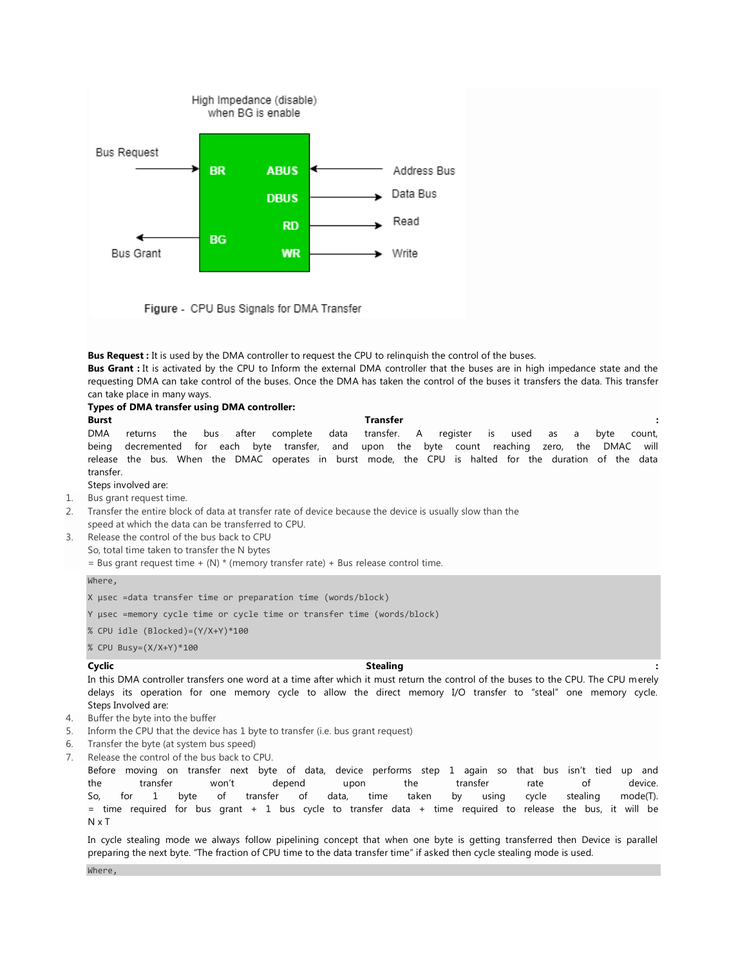

**Bus Request :** It is used by the DMA controller to request the CPU to relinquish the control of the buses.

**Bus Grant :** It is activated by the CPU to Inform the external DMA controller that the buses are in high impedance state and the requesting DMA can take control of the buses. Once the DMA has taken the control of the buses it transfers the data. This transfer can take place in many ways.

## **Types of DMA transfer using DMA controller:**

| <b>Burst</b> |         |  |  |                                                                                                       |  | Transfer |  |  |  |  |  |  |  |  |  |  |  |
|--------------|---------|--|--|-------------------------------------------------------------------------------------------------------|--|----------|--|--|--|--|--|--|--|--|--|--|--|
| <b>DMA</b>   | returns |  |  | the bus after complete data transfer. A register is used as a byte count,                             |  |          |  |  |  |  |  |  |  |  |  |  |  |
|              |         |  |  | being decremented for each byte transfer, and upon the byte count reaching zero, the DMAC will        |  |          |  |  |  |  |  |  |  |  |  |  |  |
|              |         |  |  | release the bus. When the DMAC operates in burst mode, the CPU is halted for the duration of the data |  |          |  |  |  |  |  |  |  |  |  |  |  |
| transfer.    |         |  |  |                                                                                                       |  |          |  |  |  |  |  |  |  |  |  |  |  |

### Steps involved are:

- 1. Bus grant request time.
- 2. Transfer the entire block of data at transfer rate of device because the device is usually slow than the speed at which the data can be transferred to CPU.
- 3. Release the control of the bus back to CPU

So, total time taken to transfer the N bytes

= Bus grant request time + (N)  $*$  (memory transfer rate) + Bus release control time.

```
Where,
```
X µsec =data transfer time or preparation time (words/block)

- Y µsec =memory cycle time or cycle time or transfer time (words/block)
- % CPU idle (Blocked)=(Y/X+Y)\*100

% CPU Busy=(X/X+Y)\*100

#### **Cyclic Stealing :**

In this DMA controller transfers one word at a time after which it must return the control of the buses to the CPU. The CPU merely delays its operation for one memory cycle to allow the direct memory I/O transfer to "steal" one memory cycle. Steps Involved are:

- 4. Buffer the byte into the buffer
- 5. Inform the CPU that the device has 1 byte to transfer (i.e. bus grant request)
- 6. Transfer the byte (at system bus speed)
- 7. Release the control of the bus back to CPU.

Before moving on transfer next byte of data, device performs step 1 again so that bus isn't tied up and the transfer won't depend upon the transfer rate of device. So, for 1 byte of transfer of data, time taken by using cycle stealing mode(T). = time required for bus grant + 1 bus cycle to transfer data + time required to release the bus, it will be N x T

In cycle stealing mode we always follow pipelining concept that when one byte is getting transferred then Device is parallel preparing the next byte. "The fraction of CPU time to the data transfer time" if asked then cycle stealing mode is used.

Where,